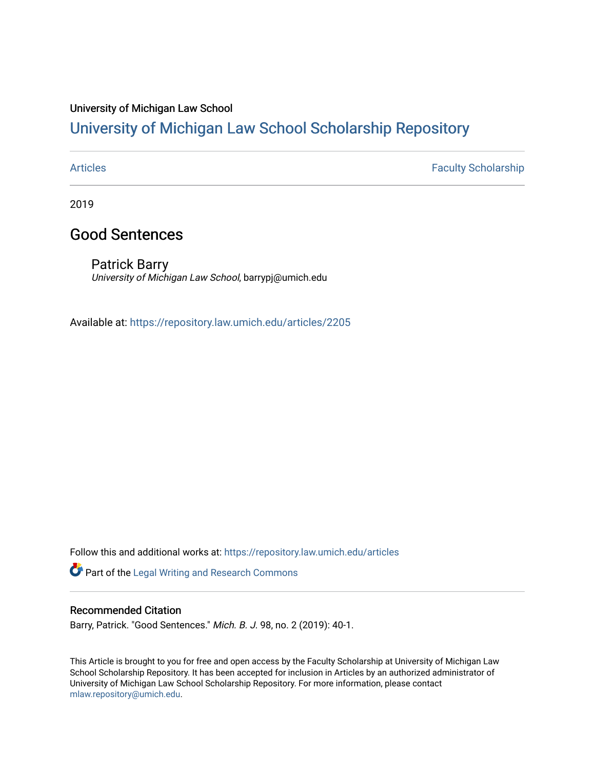### University of Michigan Law School

## [University of Michigan Law School Scholarship Repository](https://repository.law.umich.edu/)

[Articles](https://repository.law.umich.edu/articles) **Faculty Scholarship** 

2019

## Good Sentences

Patrick Barry University of Michigan Law School, barrypj@umich.edu

Available at: <https://repository.law.umich.edu/articles/2205>

Follow this and additional works at: [https://repository.law.umich.edu/articles](https://repository.law.umich.edu/articles?utm_source=repository.law.umich.edu%2Farticles%2F2205&utm_medium=PDF&utm_campaign=PDFCoverPages) 

Part of the [Legal Writing and Research Commons](http://network.bepress.com/hgg/discipline/614?utm_source=repository.law.umich.edu%2Farticles%2F2205&utm_medium=PDF&utm_campaign=PDFCoverPages) 

#### Recommended Citation

Barry, Patrick. "Good Sentences." Mich. B. J. 98, no. 2 (2019): 40-1.

This Article is brought to you for free and open access by the Faculty Scholarship at University of Michigan Law School Scholarship Repository. It has been accepted for inclusion in Articles by an authorized administrator of University of Michigan Law School Scholarship Repository. For more information, please contact [mlaw.repository@umich.edu.](mailto:mlaw.repository@umich.edu)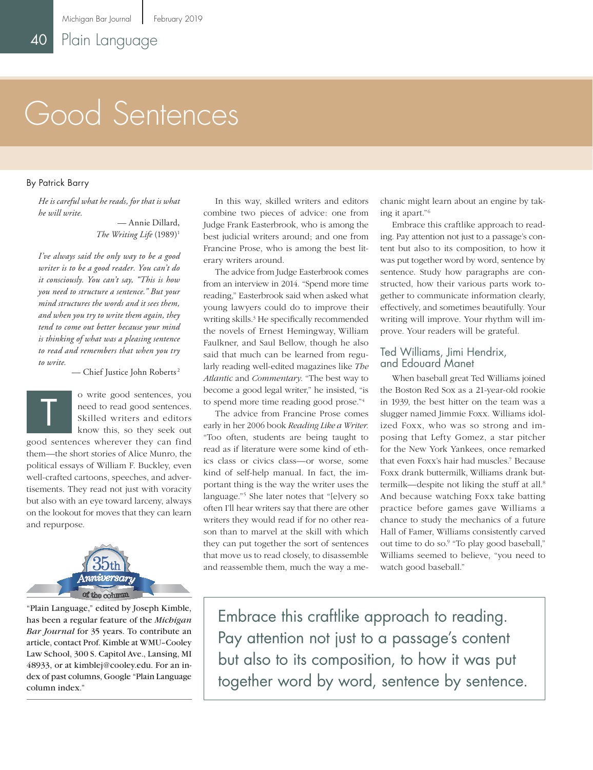# Good Sentences

#### By Patrick Barry

*He is careful what he reads, for that is what he will write.*

> — Annie Dillard, *The Writing Life* (1989)<sup>1</sup>

*I've always said the only way to be a good writer is to be a good reader. You can't do it consciously. You can't say, "This is how you need to structure a sentence." But your mind structures the words and it sees them, and when you try to write them again, they tend to come out better because your mind is thinking of what was a pleasing sentence to read and remembers that when you try to write.*

— Chief Justice John Roberts <sup>2</sup>



o write good sentences, you need to read good sentences. Skilled writers and editors know this, so they seek out

good sentences wherever they can find them—the short stories of Alice Munro, the political essays of William F. Buckley, even well-crafted cartoons, speeches, and advertisements. They read not just with voracity but also with an eye toward larceny, always on the lookout for moves that they can learn and repurpose.



"Plain Language," edited by Joseph Kimble, has been a regular feature of the *Michigan Bar Journal* for 35 years. To contribute an article, contact Prof. Kimble at WMU–Cooley Law School, 300 S. Capitol Ave., Lansing, MI 48933, or at kimblej@cooley.edu. For an index of past columns, Google "Plain Language column index."

In this way, skilled writers and editors combine two pieces of advice: one from Judge Frank Easterbrook, who is among the best judicial writers around; and one from Francine Prose, who is among the best literary writers around.

The advice from Judge Easterbrook comes from an interview in 2014. "Spend more time reading," Easterbrook said when asked what young lawyers could do to improve their writing skills.<sup>3</sup> He specifically recommended the novels of Ernest Hemingway, William Faulkner, and Saul Bellow, though he also said that much can be learned from regularly reading well-edited magazines like *The Atlantic* and *Commentary*. "The best way to become a good legal writer," he insisted, "is to spend more time reading good prose."<sup>4</sup>

The advice from Francine Prose comes early in her 2006 book *Reading Like a Writer*. "Too often, students are being taught to read as if literature were some kind of ethics class or civics class—or worse, some kind of self-help manual. In fact, the important thing is the way the writer uses the language."<sup>5</sup> She later notes that "[e]very so often I'll hear writers say that there are other writers they would read if for no other reason than to marvel at the skill with which they can put together the sort of sentences that move us to read closely, to disassemble and reassemble them, much the way a mechanic might learn about an engine by taking it apart."<sup>6</sup>

Embrace this craftlike approach to reading. Pay attention not just to a passage's content but also to its composition, to how it was put together word by word, sentence by sentence. Study how paragraphs are constructed, how their various parts work together to communicate information clearly, effectively, and sometimes beautifully. Your writing will improve. Your rhythm will improve. Your readers will be grateful.

#### Ted Williams, Jimi Hendrix, and Edouard Manet

When baseball great Ted Williams joined the Boston Red Sox as a 21-year-old rookie in 1939, the best hitter on the team was a slugger named Jimmie Foxx. Williams idolized Foxx, who was so strong and imposing that Lefty Gomez, a star pitcher for the New York Yankees, once remarked that even Foxx's hair had muscles.<sup>7</sup> Because Foxx drank buttermilk, Williams drank buttermilk—despite not liking the stuff at all.<sup>8</sup> And because watching Foxx take batting practice before games gave Williams a chance to study the mechanics of a future Hall of Famer, Williams consistently carved out time to do so.<sup>9</sup> "To play good baseball," Williams seemed to believe, "you need to watch good baseball."

Embrace this craftlike approach to reading. Pay attention not just to a passage's content but also to its composition, to how it was put together word by word, sentence by sentence.